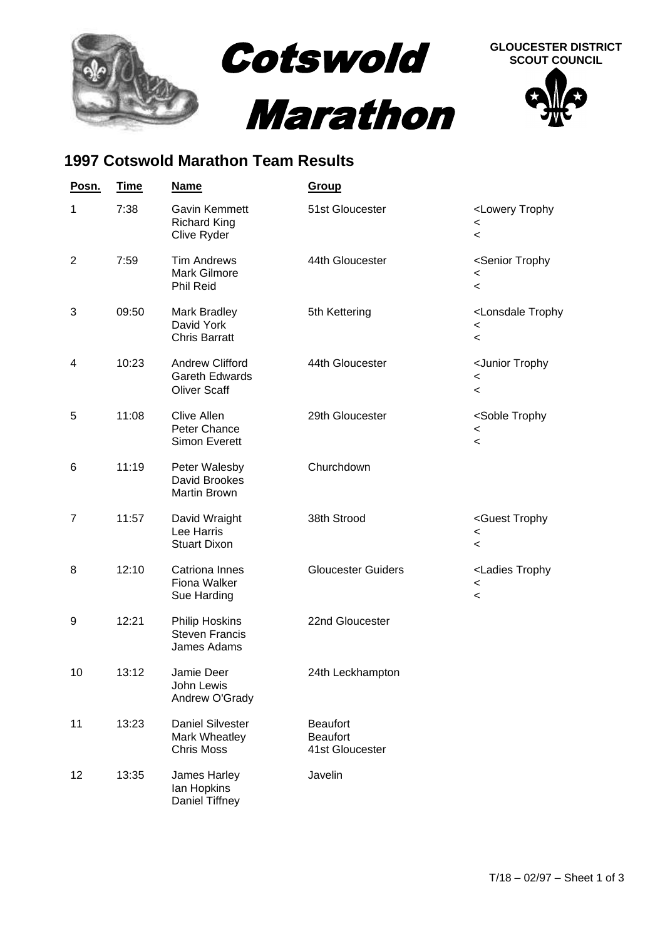

## **1997 Cotswold Marathon Team Results**

| Posn.          | <u>Time</u> | <b>Name</b>                                                            | <b>Group</b>                                          |                                                                                                  |
|----------------|-------------|------------------------------------------------------------------------|-------------------------------------------------------|--------------------------------------------------------------------------------------------------|
| 1              | 7:38        | <b>Gavin Kemmett</b><br><b>Richard King</b><br>Clive Ryder             | 51st Gloucester                                       | <lowery trophy<br=""><math>\,&lt;\,</math><br/><math>\,&lt;\,</math></lowery>                    |
| $\overline{2}$ | 7:59        | <b>Tim Andrews</b><br>Mark Gilmore<br>Phil Reid                        | 44th Gloucester                                       | <senior trophy<br=""><math>\,&lt;</math><br/><math>\,&lt;\,</math></senior>                      |
| 3              | 09:50       | Mark Bradley<br>David York<br><b>Chris Barratt</b>                     | 5th Kettering                                         | <lonsdale trophy<br=""><math>\,&lt;\,</math><br/><math display="inline">\,&lt;</math></lonsdale> |
| 4              | 10:23       | <b>Andrew Clifford</b><br><b>Gareth Edwards</b><br><b>Oliver Scaff</b> | 44th Gloucester                                       | <junior trophy<br=""><math display="inline">\,&lt;</math><br/><math>\,&lt;\,</math></junior>     |
| 5              | 11:08       | <b>Clive Allen</b><br>Peter Chance<br><b>Simon Everett</b>             | 29th Gloucester                                       | <soble trophy<br=""><math>\,&lt;\,</math><br/><math>\,&lt;\,</math></soble>                      |
| 6              | 11:19       | Peter Walesby<br>David Brookes<br><b>Martin Brown</b>                  | Churchdown                                            |                                                                                                  |
| 7              | 11:57       | David Wraight<br>Lee Harris<br><b>Stuart Dixon</b>                     | 38th Strood                                           | <guest trophy<br=""><math>\,&lt;\,</math><br/><math display="inline">\,&lt;</math></guest>       |
| 8              | 12:10       | Catriona Innes<br><b>Fiona Walker</b><br>Sue Harding                   | <b>Gloucester Guiders</b>                             | <ladies trophy<br=""><math>\,&lt;\,</math><br/><math>\,&lt;\,</math></ladies>                    |
| 9              | 12:21       | <b>Philip Hoskins</b><br><b>Steven Francis</b><br>James Adams          | 22nd Gloucester                                       |                                                                                                  |
| 10             | 13:12       | Jamie Deer<br>John Lewis<br>Andrew O'Grady                             | 24th Leckhampton                                      |                                                                                                  |
| 11             | 13:23       | <b>Daniel Silvester</b><br>Mark Wheatley<br><b>Chris Moss</b>          | <b>Beaufort</b><br><b>Beaufort</b><br>41st Gloucester |                                                                                                  |
| 12             | 13:35       | James Harley<br>Ian Hopkins<br>Daniel Tiffney                          | Javelin                                               |                                                                                                  |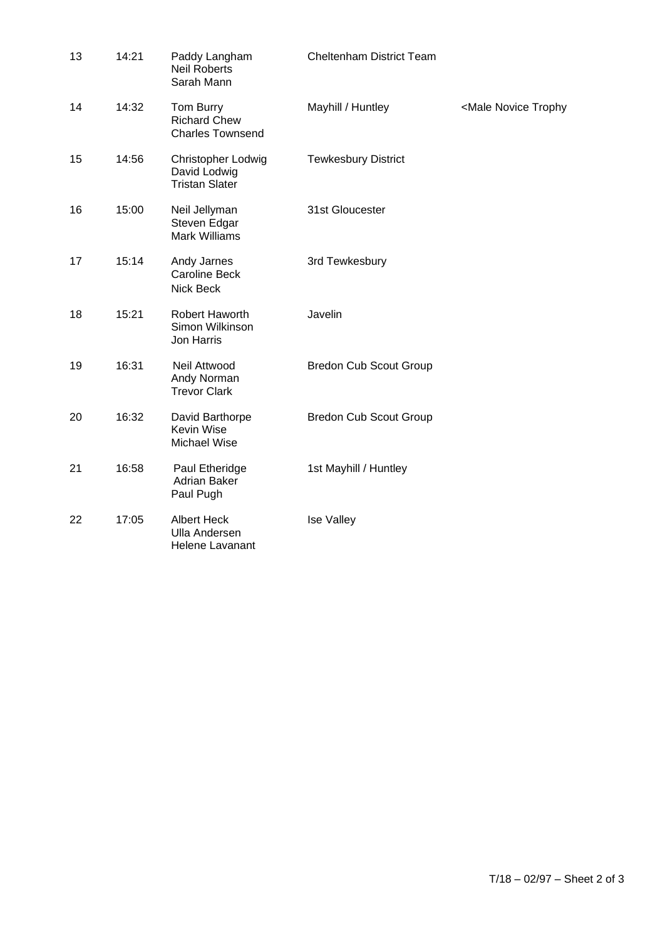| 13 | 14:21 | Paddy Langham<br><b>Neil Roberts</b><br>Sarah Mann            | <b>Cheltenham District Team</b> |                                          |
|----|-------|---------------------------------------------------------------|---------------------------------|------------------------------------------|
| 14 | 14:32 | Tom Burry<br><b>Richard Chew</b><br><b>Charles Townsend</b>   | Mayhill / Huntley               | <male novice="" td="" trophy<=""></male> |
| 15 | 14:56 | Christopher Lodwig<br>David Lodwig<br><b>Tristan Slater</b>   | <b>Tewkesbury District</b>      |                                          |
| 16 | 15:00 | Neil Jellyman<br>Steven Edgar<br><b>Mark Williams</b>         | 31st Gloucester                 |                                          |
| 17 | 15:14 | Andy Jarnes<br><b>Caroline Beck</b><br>Nick Beck              | 3rd Tewkesbury                  |                                          |
| 18 | 15:21 | Robert Haworth<br>Simon Wilkinson<br>Jon Harris               | Javelin                         |                                          |
| 19 | 16:31 | Neil Attwood<br>Andy Norman<br><b>Trevor Clark</b>            | <b>Bredon Cub Scout Group</b>   |                                          |
| 20 | 16:32 | David Barthorpe<br>Kevin Wise<br>Michael Wise                 | <b>Bredon Cub Scout Group</b>   |                                          |
| 21 | 16:58 | Paul Etheridge<br><b>Adrian Baker</b><br>Paul Pugh            | 1st Mayhill / Huntley           |                                          |
| 22 | 17:05 | <b>Albert Heck</b><br><b>Ulla Andersen</b><br>Helene Lavanant | Ise Valley                      |                                          |